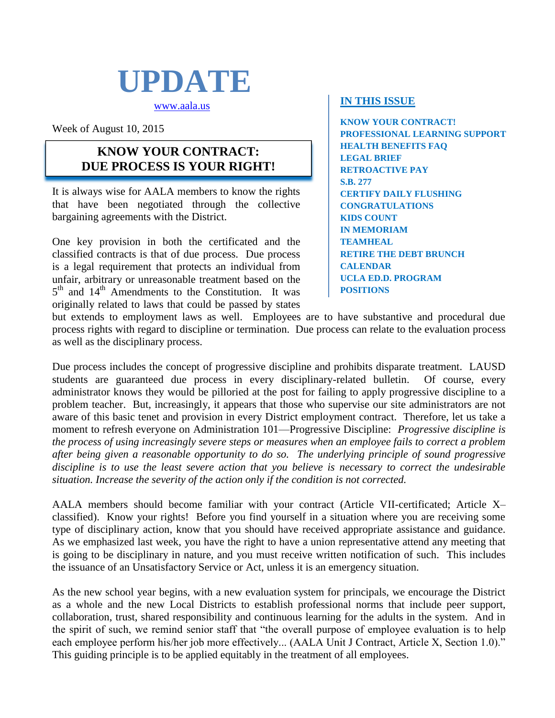

[www.aala.us](http://www.aala.us/)

Week of August 10, 2015

### **KNOW YOUR CONTRACT: DUE PROCESS IS YOUR RIGHT!**

It is always wise for AALA members to know the rights that have been negotiated through the collective bargaining agreements with the District.

One key provision in both the certificated and the classified contracts is that of due process. Due process is a legal requirement that protects an individual from unfair, arbitrary or unreasonable treatment based on the 5<sup>th</sup> and 14<sup>th</sup> Amendments to the Constitution. It was originally related to laws that could be passed by states

### **IN THIS ISSUE**

**KNOW YOUR CONTRACT! PROFESSIONAL LEARNING SUPPORT HEALTH BENEFITS FAQ LEGAL BRIEF RETROACTIVE PAY S.B. 277 CERTIFY DAILY FLUSHING CONGRATULATIONS KIDS COUNT IN MEMORIAM TEAMHEAL RETIRE THE DEBT BRUNCH CALENDAR UCLA ED.D. PROGRAM POSITIONS**

but extends to employment laws as well. Employees are to have substantive and procedural due process rights with regard to discipline or termination. Due process can relate to the evaluation process as well as the disciplinary process.

Due process includes the concept of progressive discipline and prohibits disparate treatment. LAUSD students are guaranteed due process in every disciplinary-related bulletin. Of course, every administrator knows they would be pilloried at the post for failing to apply progressive discipline to a problem teacher. But, increasingly, it appears that those who supervise our site administrators are not aware of this basic tenet and provision in every District employment contract. Therefore, let us take a moment to refresh everyone on Administration 101—Progressive Discipline: *Progressive discipline is the process of using increasingly severe steps or measures when an employee fails to correct a problem after being given a reasonable opportunity to do so. The underlying principle of sound progressive discipline is to use the least severe action that you believe is necessary to correct the undesirable situation. Increase the severity of the action only if the condition is not corrected.*

AALA members should become familiar with your contract (Article VII-certificated; Article X– classified). Know your rights! Before you find yourself in a situation where you are receiving some type of disciplinary action, know that you should have received appropriate assistance and guidance. As we emphasized last week, you have the right to have a union representative attend any meeting that is going to be disciplinary in nature, and you must receive written notification of such. This includes the issuance of an Unsatisfactory Service or Act, unless it is an emergency situation.

As the new school year begins, with a new evaluation system for principals, we encourage the District as a whole and the new Local Districts to establish professional norms that include peer support, collaboration, trust, shared responsibility and continuous learning for the adults in the system. And in the spirit of such, we remind senior staff that "the overall purpose of employee evaluation is to help each employee perform his/her job more effectively... (AALA Unit J Contract, Article X, Section 1.0)." This guiding principle is to be applied equitably in the treatment of all employees.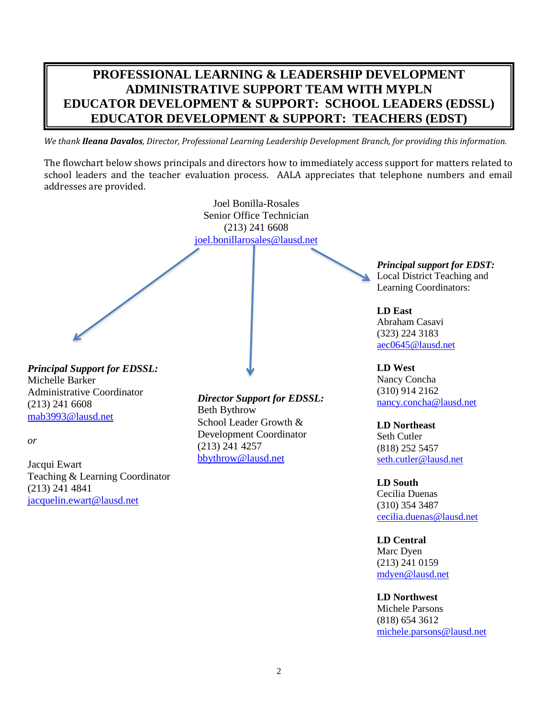### **PROFESSIONAL LEARNING & LEADERSHIP DEVELOPMENT ADMINISTRATIVE SUPPORT TEAM WITH MYPLN EDUCATOR DEVELOPMENT & SUPPORT: SCHOOL LEADERS (EDSSL) EDUCATOR DEVELOPMENT & SUPPORT: TEACHERS (EDST)**

*We thank Ileana Davalos, Director, Professional Learning Leadership Development Branch, for providing this information.*

The flowchart below shows principals and directors how to immediately access support for matters related to school leaders and the teacher evaluation process. AALA appreciates that telephone numbers and email addresses are provided.



Michelle Barker Administrative Coordinator (213) 241 6608 [mab3993@lausd.net](mailto:mab3993@lausd.net)

*or*

Jacqui Ewart Teaching & Learning Coordinator (213) 241 4841 [jacquelin.ewart@lausd.net](mailto:jacquelin.ewart@lausd.net)

*Director Support for EDSSL:* Beth Bythrow School Leader Growth & Development Coordinator (213) 241 4257 [bbythrow@lausd.net](mailto:bbythrow@lausd.net)

**LD Northeast** Seth Cutler (818) 252 5457 [seth.cutler@lausd.net](mailto:seth.cutler@lausd.net)

[nancy.concha@lausd.net](mailto:nancy.concha@lausd.net)

(310) 914 2162

**LD South** Cecilia Duenas (310) 354 3487 [cecilia.duenas@lausd.net](mailto:cecilia.duenas@lausd.net)

**LD Central** Marc Dyen (213) 241 0159 [mdyen@lausd.net](mailto:mdyen@lausd.net)

**LD Northwest** Michele Parsons (818) 654 3612 [michele.parsons@lausd.net](mailto:michele.parsons@lausd.net)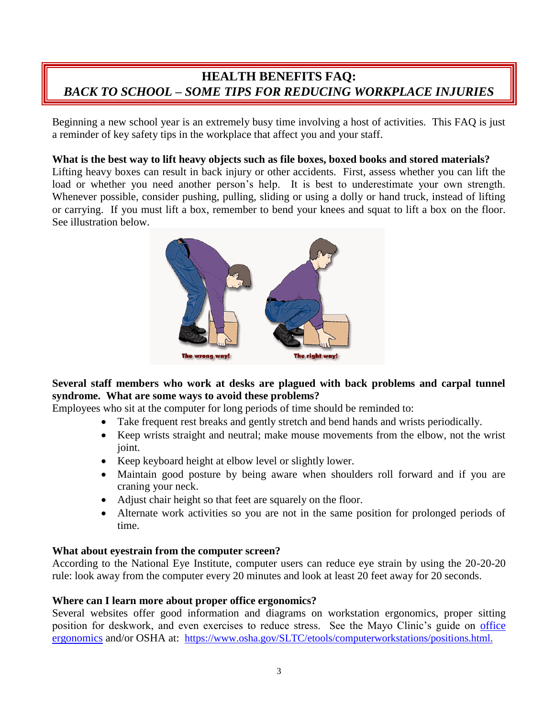### **HEALTH BENEFITS FAQ:** *BACK TO SCHOOL – SOME TIPS FOR REDUCING WORKPLACE INJURIES*

Beginning a new school year is an extremely busy time involving a host of activities. This FAQ is just a reminder of key safety tips in the workplace that affect you and your staff.

### **What is the best way to lift heavy objects such as file boxes, boxed books and stored materials?**

Lifting heavy boxes can result in back injury or other accidents. First, assess whether you can lift the load or whether you need another person's help. It is best to underestimate your own strength. Whenever possible, consider pushing, pulling, sliding or using a dolly or hand truck, instead of lifting or carrying. If you must lift a box, remember to bend your knees and squat to lift a box on the floor. See illustration below.



### **Several staff members who work at desks are plagued with back problems and carpal tunnel syndrome. What are some ways to avoid these problems?**

Employees who sit at the computer for long periods of time should be reminded to:

- Take frequent rest breaks and gently stretch and bend hands and wrists periodically.
- Keep wrists straight and neutral; make mouse movements from the elbow, not the wrist joint.
- Keep keyboard height at elbow level or slightly lower.
- Maintain good posture by being aware when shoulders roll forward and if you are craning your neck.
- Adjust chair height so that feet are squarely on the floor.
- Alternate work activities so you are not in the same position for prolonged periods of time.

#### **What about eyestrain from the computer screen?**

According to the National Eye Institute, computer users can reduce eye strain by using the 20-20-20 rule: look away from the computer every 20 minutes and look at least 20 feet away for 20 seconds.

#### **Where can I learn more about proper office ergonomics?**

Several websites offer good information and diagrams on workstation ergonomics, proper sitting position for deskwork, and even exercises to reduce stress. See the Mayo Clinic's guide on [office](http://www.mayoclinic.org/healthy-lifestyle/adult-health/in-depth/office-ergonomics/art-20046169) [ergonomics](http://www.mayoclinic.org/healthy-lifestyle/adult-health/in-depth/office-ergonomics/art-20046169) and/or OSHA at: [https://www.osha.gov/SLTC/etools/computerworkstations/positions.html.](https://www.osha.gov/SLTC/etools/computerworkstations/positions.html)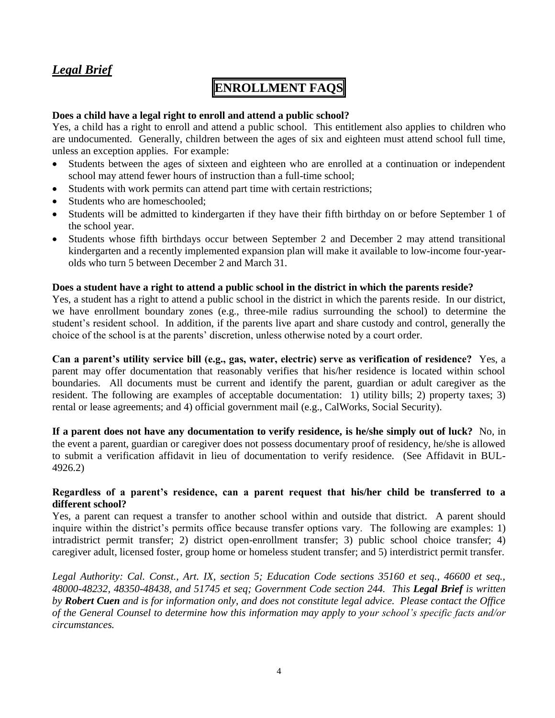### *Legal Brief*

### **ENROLLMENT FAQS**

#### **Does a child have a legal right to enroll and attend a public school?**

Yes, a child has a right to enroll and attend a public school. This entitlement also applies to children who are undocumented. Generally, children between the ages of six and eighteen must attend school full time, unless an exception applies. For example:

- Students between the ages of sixteen and eighteen who are enrolled at a continuation or independent school may attend fewer hours of instruction than a full-time school;
- Students with work permits can attend part time with certain restrictions;
- Students who are homeschooled:
- Students will be admitted to kindergarten if they have their fifth birthday on or before September 1 of the school year.
- Students whose fifth birthdays occur between September 2 and December 2 may attend transitional kindergarten and a recently implemented expansion plan will make it available to low-income four-yearolds who turn 5 between December 2 and March 31.

#### **Does a student have a right to attend a public school in the district in which the parents reside?**

Yes, a student has a right to attend a public school in the district in which the parents reside. In our district, we have enrollment boundary zones (e.g., three-mile radius surrounding the school) to determine the student's resident school. In addition, if the parents live apart and share custody and control, generally the choice of the school is at the parents' discretion, unless otherwise noted by a court order.

**Can a parent's utility service bill (e.g., gas, water, electric) serve as verification of residence?** Yes, a parent may offer documentation that reasonably verifies that his/her residence is located within school boundaries. All documents must be current and identify the parent, guardian or adult caregiver as the resident. The following are examples of acceptable documentation: 1) utility bills; 2) property taxes; 3) rental or lease agreements; and 4) official government mail (e.g., CalWorks, Social Security).

**If a parent does not have any documentation to verify residence, is he/she simply out of luck?** No, in the event a parent, guardian or caregiver does not possess documentary proof of residency, he/she is allowed to submit a verification affidavit in lieu of documentation to verify residence. (See Affidavit in BUL-4926.2)

#### **Regardless of a parent's residence, can a parent request that his/her child be transferred to a different school?**

Yes, a parent can request a transfer to another school within and outside that district. A parent should inquire within the district's permits office because transfer options vary. The following are examples: 1) intradistrict permit transfer; 2) district open-enrollment transfer; 3) public school choice transfer; 4) caregiver adult, licensed foster, group home or homeless student transfer; and 5) interdistrict permit transfer.

*Legal Authority: Cal. Const., Art. IX, section 5; Education Code sections 35160 et seq., 46600 et seq., 48000-48232, 48350-48438, and 51745 et seq; Government Code section 244. This Legal Brief is written by Robert Cuen and is for information only, and does not constitute legal advice. Please contact the Office of the General Counsel to determine how this information may apply to your school's specific facts and/or circumstances.*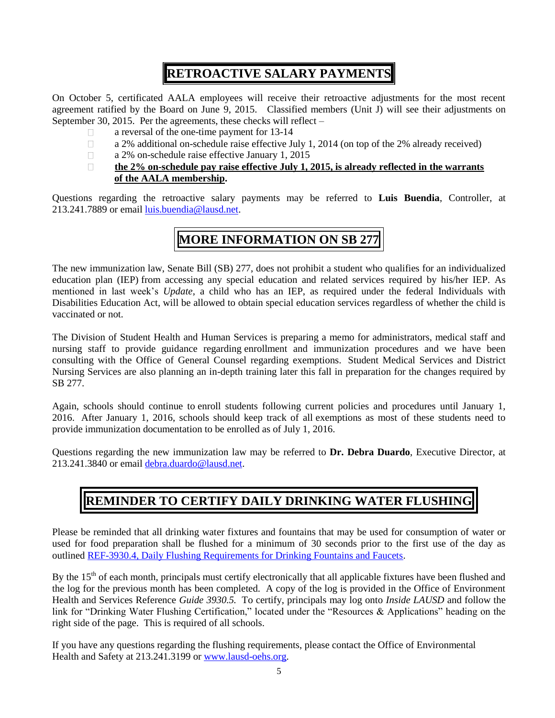## **RETROACTIVE SALARY PAYMENTS**

On October 5, certificated AALA employees will receive their retroactive adjustments for the most recent agreement ratified by the Board on June 9, 2015. Classified members (Unit J) will see their adjustments on September 30, 2015. Per the agreements, these checks will reflect –

- □ a reversal of the one-time payment for 13-14
- $\Box$  a 2% additional on-schedule raise effective July 1, 2014 (on top of the 2% already received)
- □ a 2% on-schedule raise effective January 1, 2015

#### **the 2% on-schedule pay raise effective July 1, 2015, is already reflected in the warrants of the AALA membership.**

Questions regarding the retroactive salary payments may be referred to **Luis Buendia**, Controller, at 213.241.7889 or email [luis.buendia@lausd.net.](mailto:luis.buendia@lausd.net)

### **MORE INFORMATION ON SB 277**

The new immunization law, Senate Bill (SB) 277, does not prohibit a student who qualifies for an individualized education plan (IEP) from accessing any special education and related services required by his/her IEP. As mentioned in last week's *Update*, a child who has an IEP, as required under the federal Individuals with Disabilities Education Act, will be allowed to obtain special education services regardless of whether the child is vaccinated or not.

The Division of Student Health and Human Services is preparing a memo for administrators, medical staff and nursing staff to provide guidance regarding enrollment and immunization procedures and we have been consulting with the Office of General Counsel regarding exemptions. Student Medical Services and District Nursing Services are also planning an in-depth training later this fall in preparation for the changes required by SB 277.

Again, schools should continue to enroll students following current policies and procedures until January 1, 2016. After January 1, 2016, schools should keep track of all exemptions as most of these students need to provide immunization documentation to be enrolled as of July 1, 2016.

Questions regarding the new immunization law may be referred to **Dr. Debra Duardo**, Executive Director, at 213.241.3840 or email [debra.duardo@lausd.net.](mailto:debra.duardo@lausd.net)

### **REMINDER TO CERTIFY DAILY DRINKING WATER FLUSHING**

Please be reminded that all drinking water fixtures and fountains that may be used for consumption of water or used for food preparation shall be flushed for a minimum of 30 seconds prior to the first use of the day as outlined [REF-3930.4, Daily Flushing Requirements for Drinking Fountains and Faucets.](http://notebook.lausd.net/pls/ptl/ptl_apps.nbk_doc_info.docinfo?p_doc_id=1290016)

By the 15<sup>th</sup> of each month, principals must certify electronically that all applicable fixtures have been flushed and the log for the previous month has been completed. A copy of the log is provided in the Office of Environment Health and Services Reference *Guide 3930.5.* To certify, principals may log onto *Inside LAUSD* and follow the link for "Drinking Water Flushing Certification," located under the "Resources & Applications" heading on the right side of the page. This is required of all schools.

If you have any questions regarding the flushing requirements, please contact the Office of Environmental Health and Safety at 213.241.3199 or [www.lausd-oehs.org.](http://www.lausd-oehs.org/)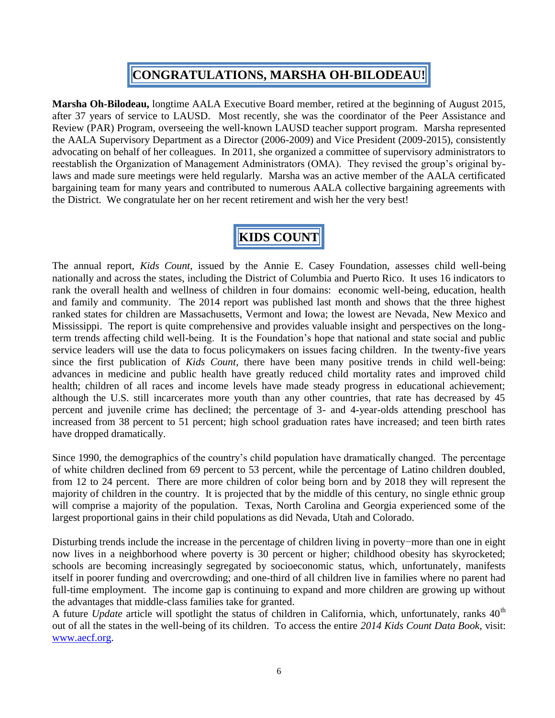## **CONGRATULATIONS, MARSHA OH-BILODEAU!**

**Marsha Oh-Bilodeau,** longtime AALA Executive Board member, retired at the beginning of August 2015, after 37 years of service to LAUSD. Most recently, she was the coordinator of the Peer Assistance and Review (PAR) Program, overseeing the well-known LAUSD teacher support program. Marsha represented the AALA Supervisory Department as a Director (2006-2009) and Vice President (2009-2015), consistently advocating on behalf of her colleagues. In 2011, she organized a committee of supervisory administrators to reestablish the Organization of Management Administrators (OMA). They revised the group's original bylaws and made sure meetings were held regularly. Marsha was an active member of the AALA certificated bargaining team for many years and contributed to numerous AALA collective bargaining agreements with the District. We congratulate her on her recent retirement and wish her the very best!

# **KIDS COUNT**

The annual report, *Kids Count*, issued by the Annie E. Casey Foundation, assesses child well-being nationally and across the states, including the District of Columbia and Puerto Rico. It uses 16 indicators to rank the overall health and wellness of children in four domains: economic well-being, education, health and family and community. The 2014 report was published last month and shows that the three highest ranked states for children are Massachusetts, Vermont and Iowa; the lowest are Nevada, New Mexico and Mississippi. The report is quite comprehensive and provides valuable insight and perspectives on the longterm trends affecting child well-being. It is the Foundation's hope that national and state social and public service leaders will use the data to focus policymakers on issues facing children. In the twenty-five years since the first publication of *Kids Count*, there have been many positive trends in child well-being: advances in medicine and public health have greatly reduced child mortality rates and improved child health; children of all races and income levels have made steady progress in educational achievement; although the U.S. still incarcerates more youth than any other countries, that rate has decreased by 45 percent and juvenile crime has declined; the percentage of 3- and 4-year-olds attending preschool has increased from 38 percent to 51 percent; high school graduation rates have increased; and teen birth rates have dropped dramatically.

Since 1990, the demographics of the country's child population have dramatically changed. The percentage of white children declined from 69 percent to 53 percent, while the percentage of Latino children doubled, from 12 to 24 percent. There are more children of color being born and by 2018 they will represent the majority of children in the country. It is projected that by the middle of this century, no single ethnic group will comprise a majority of the population. Texas, North Carolina and Georgia experienced some of the largest proportional gains in their child populations as did Nevada, Utah and Colorado.

Disturbing trends include the increase in the percentage of children living in poverty−more than one in eight now lives in a neighborhood where poverty is 30 percent or higher; childhood obesity has skyrocketed; schools are becoming increasingly segregated by socioeconomic status, which, unfortunately, manifests itself in poorer funding and overcrowding; and one-third of all children live in families where no parent had full-time employment. The income gap is continuing to expand and more children are growing up without the advantages that middle-class families take for granted.

A future *Update* article will spotlight the status of children in California, which, unfortunately, ranks 40<sup>th</sup> out of all the states in the well-being of its children. To access the entire *2014 Kids Count Data Book*, visit: [www.aecf.org.](http://www.aecf.org/)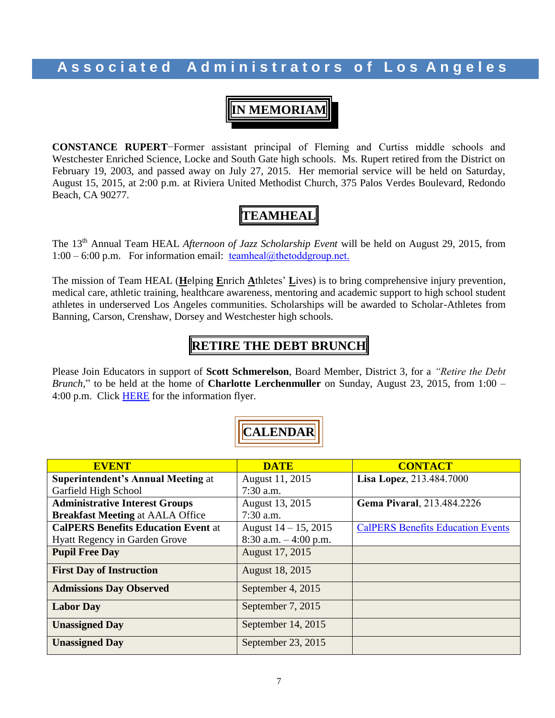### **A s s o c i a t e d A d m i n i s t r a t o r s o f L o s A n g e l e s**

**IN MEMORIAM**

**CONSTANCE RUPERT**−Former assistant principal of Fleming and Curtiss middle schools and Westchester Enriched Science, Locke and South Gate high schools. Ms. Rupert retired from the District on February 19, 2003, and passed away on July 27, 2015. Her memorial service will be held on Saturday, August 15, 2015, at 2:00 p.m. at Riviera United Methodist Church, 375 Palos Verdes Boulevard, Redondo Beach, CA 90277.

## **TEAMHEAL**

The 13th Annual Team HEAL *Afternoon of Jazz Scholarship Event* will be held on August 29, 2015, from  $1:00 - 6:00$  p.m. For information email: [teamheal@thetoddgroup.net.](mailto:teamheal@thetoddgroup.net)

The mission of Team HEAL (**H**elping **E**nrich **A**thletes' **L**ives) is to bring comprehensive injury prevention, medical care, athletic training, healthcare awareness, mentoring and academic support to high school student athletes in underserved Los Angeles communities. Scholarships will be awarded to Scholar-Athletes from Banning, Carson, Crenshaw, Dorsey and Westchester high schools.

### **RETIRE THE DEBT BRUNCH**

Please Join Educators in support of **Scott Schmerelson**, Board Member, District 3, for a *"Retire the Debt Brunch*," to be held at the home of **Charlotte Lerchenmuller** on Sunday, August 23, 2015, from 1:00 – 4:00 p.m. Click [HERE](http://www.aala.us/docs/2015/08/Lerchenmuller-Aug-23-Invitation-00000003.pdf) for the information flyer.

| <b>EVENT</b>                               | <b>DATE</b>              | <b>CONTACT</b>                           |
|--------------------------------------------|--------------------------|------------------------------------------|
| <b>Superintendent's Annual Meeting at</b>  | August 11, 2015          | Lisa Lopez, 213.484.7000                 |
| Garfield High School                       | $7:30$ a.m.              |                                          |
| <b>Administrative Interest Groups</b>      | August 13, 2015          | Gema Pivaral, 213.484.2226               |
| <b>Breakfast Meeting at AALA Office</b>    | $7:30$ a.m.              |                                          |
| <b>CalPERS Benefits Education Event at</b> | August $14 - 15$ , 2015  | <b>CalPERS Benefits Education Events</b> |
| <b>Hyatt Regency in Garden Grove</b>       | $8:30$ a.m. $-4:00$ p.m. |                                          |
| <b>Pupil Free Day</b>                      | August 17, 2015          |                                          |
| <b>First Day of Instruction</b>            | August 18, 2015          |                                          |
| <b>Admissions Day Observed</b>             | September 4, 2015        |                                          |
| <b>Labor Day</b>                           | September 7, 2015        |                                          |
| <b>Unassigned Day</b>                      | September 14, 2015       |                                          |
| <b>Unassigned Day</b>                      | September 23, 2015       |                                          |

**CALENDAR**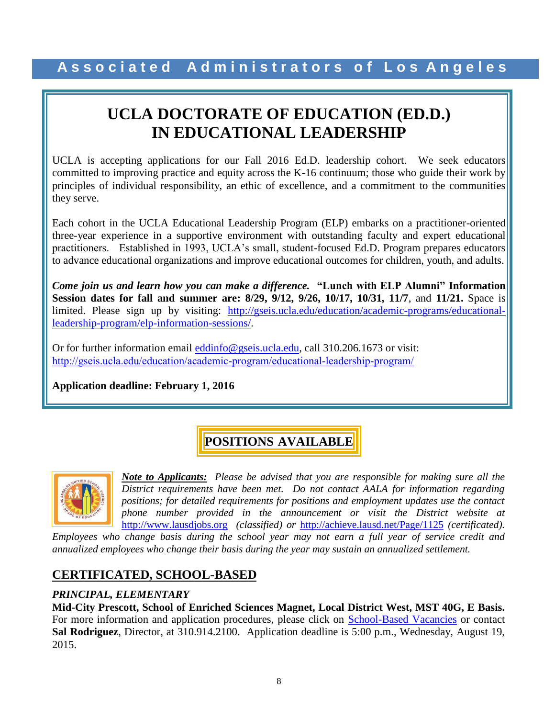# **UCLA DOCTORATE OF EDUCATION (ED.D.) IN EDUCATIONAL LEADERSHIP**

UCLA is accepting applications for our Fall 2016 Ed.D. leadership cohort. We seek educators committed to improving practice and equity across the K-16 continuum; those who guide their work by principles of individual responsibility, an ethic of excellence, and a commitment to the communities they serve.

Each cohort in the UCLA Educational Leadership Program (ELP) embarks on a practitioner-oriented three-year experience in a supportive environment with outstanding faculty and expert educational practitioners. Established in 1993, UCLA's small, student-focused Ed.D. Program prepares educators to advance educational organizations and improve educational outcomes for children, youth, and adults.

*Come join us and learn how you can make a difference.* **"Lunch with ELP Alumni" Information Session dates for fall and summer are: 8/29, 9/12, 9/26, 10/17, 10/31, 11/7**, and **11/21.** Space is limited. Please sign up by visiting: [http://gseis.ucla.edu/education/academic-programs/educational](http://gseis.ucla.edu/education/academic-programs/educational-leadership-program/elp-information-sessions/)[leadership-program/elp-information-sessions/.](http://gseis.ucla.edu/education/academic-programs/educational-leadership-program/elp-information-sessions/)

Or for further information email [eddinfo@gseis.ucla.edu,](mailto:eddinfo@gseis.ucla.edu) call 310.206.1673 or visit: <http://gseis.ucla.edu/education/academic-program/educational-leadership-program/>

**Application deadline: February 1, 2016**

## **POSITIONS AVAILABLE**



*Note to Applicants: Please be advised that you are responsible for making sure all the District requirements have been met. Do not contact AALA for information regarding positions; for detailed requirements for positions and employment updates use the contact phone number provided in the announcement or visit the District website at*  [http://www.lausdjobs.org](http://www.lausdjobs.org/) *(classified) or* <http://achieve.lausd.net/Page/1125> *(certificated).* 

*Employees who change basis during the school year may not earn a full year of service credit and annualized employees who change their basis during the year may sustain an annualized settlement.*

### **CERTIFICATED, SCHOOL-BASED**

### *PRINCIPAL, ELEMENTARY*

**Mid-City Prescott, School of Enriched Sciences Magnet, Local District West, MST 40G, E Basis.**  For more information and application procedures, please click on [School-Based](http://achieve.lausd.net/Page/3505) Vacancie[s](http://achieve.lausd.net/Page/3505) or contact **Sal Rodriguez**, Director, at 310.914.2100. Application deadline is 5:00 p.m., Wednesday, August 19, 2015.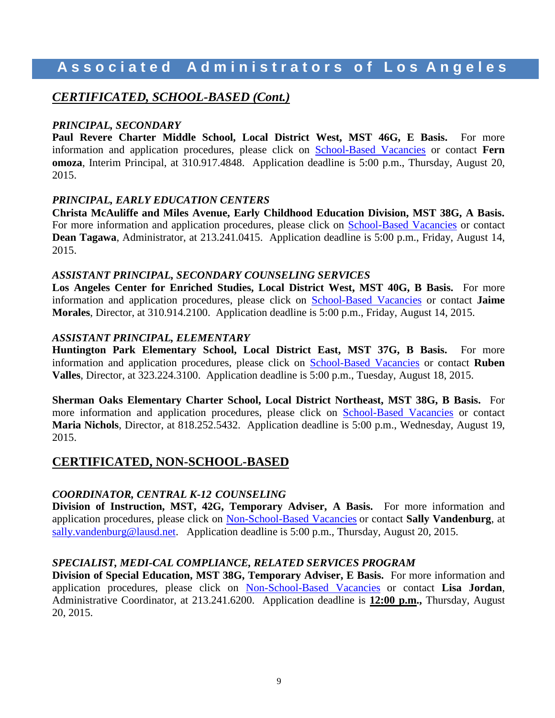### **A s s o c i a t e d A d m i n i s t r a t o r s o f L o s A n g e l e s**

### *CERTIFICATED, SCHOOL-BASED (Cont.)*

### *PRINCIPAL, SECONDARY*

**Paul Revere Charter Middle School, Local District West, MST 46G, E Basis.** For more information and application procedures, please click on [School-Based](http://achieve.lausd.net/Page/3505) Vacancie[s](http://achieve.lausd.net/Page/3505) or contact **Fern omoza**, Interim Principal, at 310.917.4848.Application deadline is 5:00 p.m., Thursday, August 20, 2015.

#### *PRINCIPAL, EARLY EDUCATION CENTERS*

**Christa McAuliffe and Miles Avenue, Early Childhood Education Division, MST 38G, A Basis.**  For more information and application procedures, please click on [School-Based](http://achieve.lausd.net/Page/3505) Vacancie[s](http://achieve.lausd.net/Page/3505) or contact **Dean Tagawa**, Administrator, at 213.241.0415. Application deadline is 5:00 p.m., Friday, August 14, 2015.

#### *ASSISTANT PRINCIPAL, SECONDARY COUNSELING SERVICES*

**Los Angeles Center for Enriched Studies, Local District West, MST 40G, B Basis.** For more information and application procedures, please click on [School-Based](http://achieve.lausd.net/Page/3505) Vacancie[s](http://achieve.lausd.net/Page/3505) or contact **Jaime Morales**, Director, at 310.914.2100. Application deadline is 5:00 p.m., Friday, August 14, 2015.

#### *ASSISTANT PRINCIPAL, ELEMENTARY*

**Huntington Park Elementary School, Local District East, MST 37G, B Basis.** For more information and application procedures, please click on [School-Based](http://achieve.lausd.net/Page/3505) Vacancie[s](http://achieve.lausd.net/Page/3505) or contact **Ruben Valles**, Director, at 323.224.3100. Application deadline is 5:00 p.m., Tuesday, August 18, 2015.

**Sherman Oaks Elementary Charter School, Local District Northeast, MST 38G, B Basis.** For more information and application procedures, please click on [School-Based](http://achieve.lausd.net/Page/3505) Vacancie[s](http://achieve.lausd.net/Page/3505) or contact **Maria Nichols**, Director, at 818.252.5432. Application deadline is 5:00 p.m., Wednesday, August 19, 2015.

### **CERTIFICATED, NON-SCHOOL-BASED**

#### *COORDINATOR, CENTRAL K-12 COUNSELING*

**Division of Instruction, MST, 42G, Temporary Adviser, A Basis.** For more information and application procedures, please click on [Non-School-Based](http://achieve.lausd.net/Page/3501) Vacancies or contact **Sally Vandenburg**, at [sally.vandenburg@lausd.net.](mailto:sally.vandenburg@lausd.net) Application deadline is 5:00 p.m., Thursday, August 20, 2015.

#### *SPECIALIST, MEDI-CAL COMPLIANCE, RELATED SERVICES PROGRAM*

**Division of Special Education, MST 38G, Temporary Adviser, E Basis.** For more information and application procedures, please click on [Non-School-Based](http://achieve.lausd.net/Page/3501) Vacancies or contact **Lisa Jordan**, Administrative Coordinator, at 213.241.6200. Application deadline is **12:00 p.m.,** Thursday, August 20, 2015.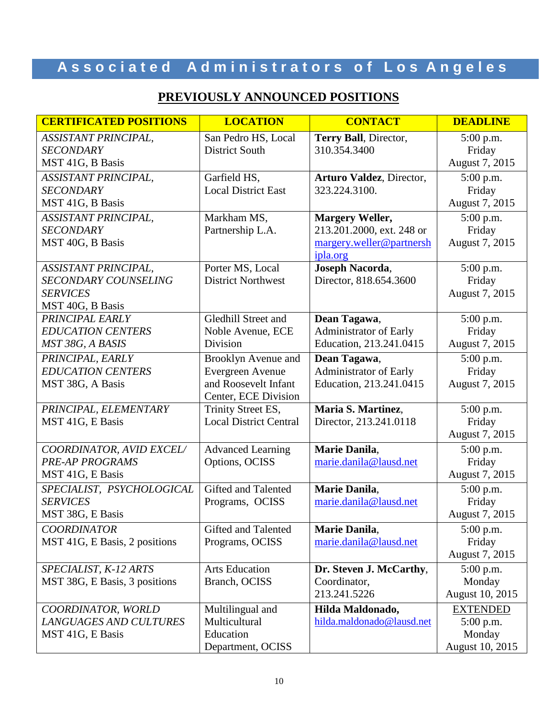# **A s s o c i a t e d A d m i n i s t r a t o r s o f L o s A n g e l e s**

### **PREVIOUSLY ANNOUNCED POSITIONS**

| <b>CERTIFICATED POSITIONS</b>                | <b>LOCATION</b>                          | <b>CONTACT</b>                         | <b>DEADLINE</b> |
|----------------------------------------------|------------------------------------------|----------------------------------------|-----------------|
| <b>ASSISTANT PRINCIPAL,</b>                  | San Pedro HS, Local                      | Terry Ball, Director,                  | 5:00 p.m.       |
| <b>SECONDARY</b>                             | <b>District South</b>                    | 310.354.3400                           | Friday          |
| MST 41G, B Basis                             |                                          |                                        | August 7, 2015  |
| <b>ASSISTANT PRINCIPAL,</b>                  | Garfield HS,                             | <b>Arturo Valdez</b> , Director,       | 5:00 p.m.       |
| <b>SECONDARY</b>                             | <b>Local District East</b>               | 323.224.3100.                          | Friday          |
| MST 41G, B Basis                             |                                          |                                        | August 7, 2015  |
| <b>ASSISTANT PRINCIPAL,</b>                  | Markham MS,                              | <b>Margery Weller,</b>                 | 5:00 p.m.       |
| <b>SECONDARY</b>                             | Partnership L.A.                         | 213.201.2000, ext. 248 or              | Friday          |
| MST 40G, B Basis                             |                                          | margery.weller@partnersh               | August 7, 2015  |
|                                              |                                          | ipla.org                               |                 |
| ASSISTANT PRINCIPAL,                         | Porter MS, Local                         | Joseph Nacorda,                        | 5:00 p.m.       |
| <b>SECONDARY COUNSELING</b>                  | <b>District Northwest</b>                | Director, 818.654.3600                 | Friday          |
| <b>SERVICES</b>                              |                                          |                                        | August 7, 2015  |
| MST 40G, B Basis<br>PRINCIPAL EARLY          | <b>Gledhill Street and</b>               |                                        |                 |
|                                              |                                          | Dean Tagawa,<br>Administrator of Early | 5:00 p.m.       |
| <b>EDUCATION CENTERS</b><br>MST 38G, A BASIS | Noble Avenue, ECE<br>Division            | Education, 213.241.0415                | Friday          |
|                                              |                                          |                                        | August 7, 2015  |
| PRINCIPAL, EARLY                             | Brooklyn Avenue and                      | Dean Tagawa,                           | 5:00 p.m.       |
| <b>EDUCATION CENTERS</b>                     | Evergreen Avenue<br>and Roosevelt Infant | Administrator of Early                 | Friday          |
| MST 38G, A Basis                             | Center, ECE Division                     | Education, 213.241.0415                | August 7, 2015  |
| PRINCIPAL, ELEMENTARY                        | Trinity Street ES,                       | Maria S. Martinez,                     | 5:00 p.m.       |
| MST 41G, E Basis                             | <b>Local District Central</b>            | Director, 213.241.0118                 | Friday          |
|                                              |                                          |                                        | August 7, 2015  |
| COORDINATOR, AVID EXCEL/                     | <b>Advanced Learning</b>                 | Marie Danila,                          | 5:00 p.m.       |
| <b>PRE-AP PROGRAMS</b>                       | Options, OCISS                           | marie.danila@lausd.net                 | Friday          |
| MST 41G, E Basis                             |                                          |                                        | August 7, 2015  |
| SPECIALIST, PSYCHOLOGICAL                    | Gifted and Talented                      | Marie Danila,                          | 5:00 p.m.       |
| <b>SERVICES</b>                              | Programs, OCISS                          | marie.danila@lausd.net                 | Friday          |
| MST 38G, E Basis                             |                                          |                                        | August 7, 2015  |
| <b>COORDINATOR</b>                           | Gifted and Talented                      | Marie Danila,                          | 5:00 p.m.       |
| MST 41G, E Basis, 2 positions                | Programs, OCISS                          | marie.danila@lausd.net                 | Friday          |
|                                              |                                          |                                        | August 7, 2015  |
| SPECIALIST, K-12 ARTS                        | <b>Arts Education</b>                    | Dr. Steven J. McCarthy,                | $5:00$ p.m.     |
| MST 38G, E Basis, 3 positions                | Branch, OCISS                            | Coordinator,                           | Monday          |
|                                              |                                          | 213.241.5226                           | August 10, 2015 |
| COORDINATOR, WORLD                           | Multilingual and                         | Hilda Maldonado,                       | <b>EXTENDED</b> |
| LANGUAGES AND CULTURES                       | Multicultural                            | hilda.maldonado@lausd.net              | $5:00$ p.m.     |
| MST 41G, E Basis                             | Education                                |                                        | Monday          |
|                                              | Department, OCISS                        |                                        | August 10, 2015 |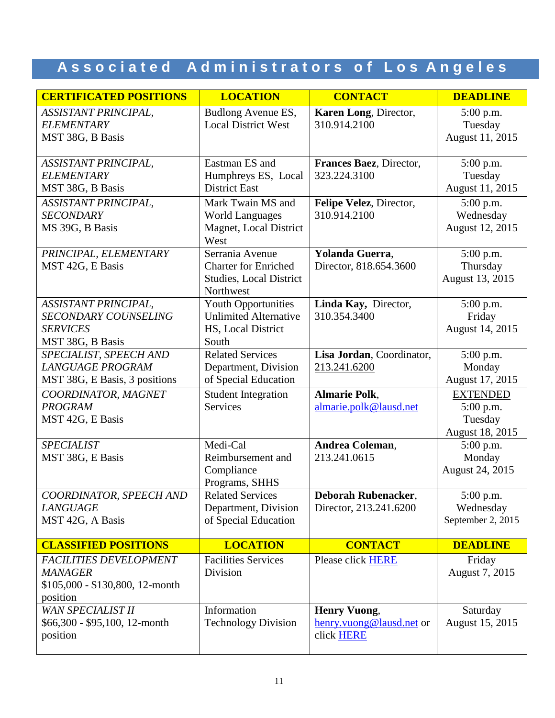# Associated Administrators of Los Angeles

| <b>CERTIFICATED POSITIONS</b>                                                                  | <b>LOCATION</b>                                                                               | <b>CONTACT</b>                                                | <b>DEADLINE</b>                                              |
|------------------------------------------------------------------------------------------------|-----------------------------------------------------------------------------------------------|---------------------------------------------------------------|--------------------------------------------------------------|
| ASSISTANT PRINCIPAL,<br><b>ELEMENTARY</b><br>MST 38G, B Basis                                  | Budlong Avenue ES,<br><b>Local District West</b>                                              | Karen Long, Director,<br>310.914.2100                         | 5:00 p.m.<br>Tuesday<br>August 11, 2015                      |
| ASSISTANT PRINCIPAL,<br><b>ELEMENTARY</b><br>MST 38G, B Basis                                  | Eastman ES and<br>Humphreys ES, Local<br><b>District East</b>                                 | Frances Baez, Director,<br>323.224.3100                       | 5:00 p.m.<br>Tuesday<br>August 11, 2015                      |
| <b>ASSISTANT PRINCIPAL,</b><br><b>SECONDARY</b><br>MS 39G, B Basis                             | Mark Twain MS and<br><b>World Languages</b><br>Magnet, Local District<br>West                 | Felipe Velez, Director,<br>310.914.2100                       | 5:00 p.m.<br>Wednesday<br>August 12, 2015                    |
| PRINCIPAL, ELEMENTARY<br>MST 42G, E Basis                                                      | Serrania Avenue<br><b>Charter for Enriched</b><br><b>Studies, Local District</b><br>Northwest | Yolanda Guerra,<br>Director, 818.654.3600                     | 5:00 p.m.<br>Thursday<br>August 13, 2015                     |
| ASSISTANT PRINCIPAL,<br><b>SECONDARY COUNSELING</b><br><b>SERVICES</b><br>MST 38G, B Basis     | <b>Youth Opportunities</b><br><b>Unlimited Alternative</b><br>HS, Local District<br>South     | Linda Kay, Director,<br>310.354.3400                          | 5:00 p.m.<br>Friday<br>August 14, 2015                       |
| SPECIALIST, SPEECH AND<br><b>LANGUAGE PROGRAM</b><br>MST 38G, E Basis, 3 positions             | <b>Related Services</b><br>Department, Division<br>of Special Education                       | Lisa Jordan, Coordinator,<br>213.241.6200                     | 5:00 p.m.<br>Monday<br>August 17, 2015                       |
| COORDINATOR, MAGNET<br><b>PROGRAM</b><br>MST 42G, E Basis                                      | Student Integration<br><b>Services</b>                                                        | <b>Almarie Polk,</b><br>almarie.polk@lausd.net                | <b>EXTENDED</b><br>$5:00$ p.m.<br>Tuesday<br>August 18, 2015 |
| <b>SPECIALIST</b><br>MST 38G, E Basis                                                          | Medi-Cal<br>Reimbursement and<br>Compliance<br>Programs, SHHS                                 | Andrea Coleman,<br>213.241.0615                               | 5:00 p.m.<br>Monday<br>August 24, 2015                       |
| COORDINATOR, SPEECH AND<br><b>LANGUAGE</b><br>MST 42G, A Basis                                 | <b>Related Services</b><br>Department, Division<br>of Special Education                       | <b>Deborah Rubenacker,</b><br>Director, 213.241.6200          | 5:00 p.m.<br>Wednesday<br>September 2, 2015                  |
| <b>CLASSIFIED POSITIONS</b>                                                                    | <b>LOCATION</b>                                                                               | <b>CONTACT</b>                                                | <b>DEADLINE</b>                                              |
| <b>FACILITIES DEVELOPMENT</b><br><b>MANAGER</b><br>\$105,000 - \$130,800, 12-month<br>position | <b>Facilities Services</b><br>Division                                                        | Please click HERE                                             | Friday<br>August 7, 2015                                     |
| <b>WAN SPECIALIST II</b><br>\$66,300 - \$95,100, 12-month<br>position                          | Information<br><b>Technology Division</b>                                                     | <b>Henry Vuong,</b><br>henry.vuong@lausd.net or<br>click HERE | Saturday<br>August 15, 2015                                  |